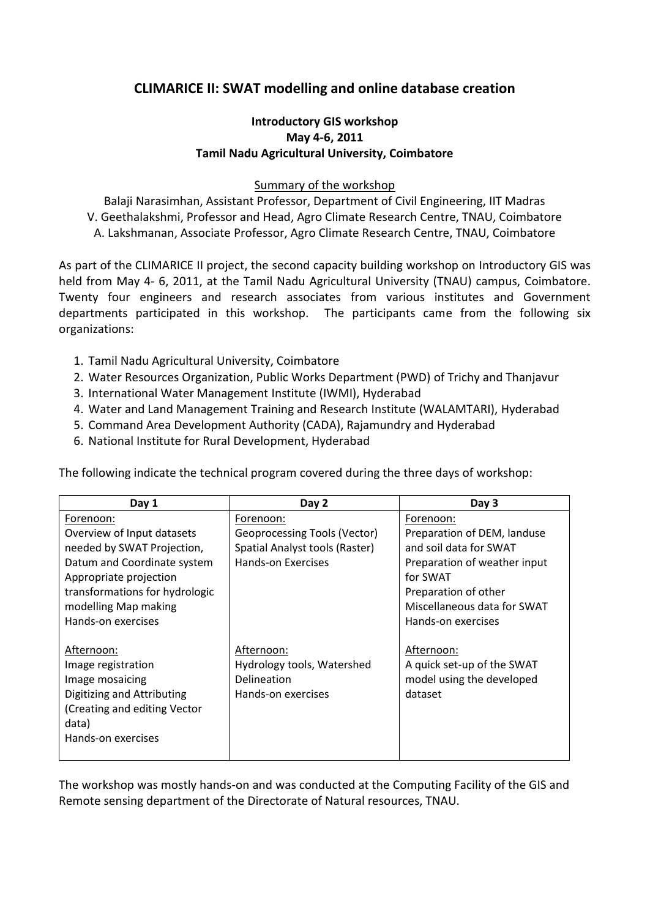## **CLIMARICE II: SWAT modelling and online database creation**

## **Introductory GIS workshop May 4-6, 2011 Tamil Nadu Agricultural University, Coimbatore**

## Summary of the workshop

Balaji Narasimhan, Assistant Professor, Department of Civil Engineering, IIT Madras V. Geethalakshmi, Professor and Head, Agro Climate Research Centre, TNAU, Coimbatore A. Lakshmanan, Associate Professor, Agro Climate Research Centre, TNAU, Coimbatore

As part of the CLIMARICE II project, the second capacity building workshop on Introductory GIS was held from May 4- 6, 2011, at the Tamil Nadu Agricultural University (TNAU) campus, Coimbatore. Twenty four engineers and research associates from various institutes and Government departments participated in this workshop. The participants came from the following six organizations:

- 1. Tamil Nadu Agricultural University, Coimbatore
- 2. Water Resources Organization, Public Works Department (PWD) of Trichy and Thanjavur
- 3. International Water Management Institute (IWMI), Hyderabad
- 4. Water and Land Management Training and Research Institute (WALAMTARI), Hyderabad
- 5. Command Area Development Authority (CADA), Rajamundry and Hyderabad
- 6. National Institute for Rural Development, Hyderabad

| Day 1                          | Day 2                          | Day 3                        |
|--------------------------------|--------------------------------|------------------------------|
| Forenoon:                      | Forenoon:                      | Forenoon:                    |
| Overview of Input datasets     | Geoprocessing Tools (Vector)   | Preparation of DEM, landuse  |
| needed by SWAT Projection,     | Spatial Analyst tools (Raster) | and soil data for SWAT       |
| Datum and Coordinate system    | Hands-on Exercises             | Preparation of weather input |
| Appropriate projection         |                                | for SWAT                     |
| transformations for hydrologic |                                | Preparation of other         |
| modelling Map making           |                                | Miscellaneous data for SWAT  |
| Hands-on exercises             |                                | Hands-on exercises           |
|                                |                                |                              |
| Afternoon:                     | Afternoon:                     | Afternoon:                   |
| Image registration             | Hydrology tools, Watershed     | A quick set-up of the SWAT   |
| Image mosaicing                | Delineation                    | model using the developed    |
| Digitizing and Attributing     | Hands-on exercises             | dataset                      |
| (Creating and editing Vector   |                                |                              |
| data)                          |                                |                              |
| Hands-on exercises             |                                |                              |
|                                |                                |                              |

The following indicate the technical program covered during the three days of workshop:

The workshop was mostly hands-on and was conducted at the Computing Facility of the GIS and Remote sensing department of the Directorate of Natural resources, TNAU.